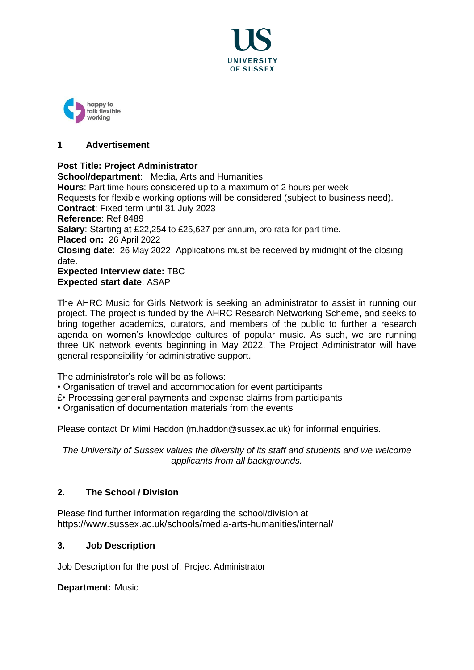



## **1 Advertisement**

**Post Title: Project Administrator School/department**: Media, Arts and Humanities **Hours**: Part time hours considered up to a maximum of 2 hours per week Requests for [flexible working](http://www.sussex.ac.uk/humanresources/personnel/flexible-working) options will be considered (subject to business need). **Contract**: Fixed term until 31 July 2023 **Reference**: Ref 8489 **Salary**: Starting at £22,254 to £25,627 per annum, pro rata for part time. **Placed on:** 26 April 2022 **Closing date**: 26 May 2022 Applications must be received by midnight of the closing date. **Expected Interview date:** TBC **Expected start date**: ASAP

The AHRC Music for Girls Network is seeking an administrator to assist in running our project. The project is funded by the AHRC Research Networking Scheme, and seeks to bring together academics, curators, and members of the public to further a research agenda on women's knowledge cultures of popular music. As such, we are running three UK network events beginning in May 2022. The Project Administrator will have general responsibility for administrative support.

The administrator's role will be as follows:

• Organisation of travel and accommodation for event participants

£• Processing general payments and expense claims from participants

• Organisation of documentation materials from the events

Please contact Dr Mimi Haddon (m.haddon@sussex.ac.uk) for informal enquiries.

*The University of Sussex values the diversity of its staff and students and we welcome applicants from all backgrounds.*

## **2. The School / Division**

Please find further information regarding the school/division at https://www.sussex.ac.uk/schools/media-arts-humanities/internal/

### **3. Job Description**

Job Description for the post of: Project Administrator

**Department:** Music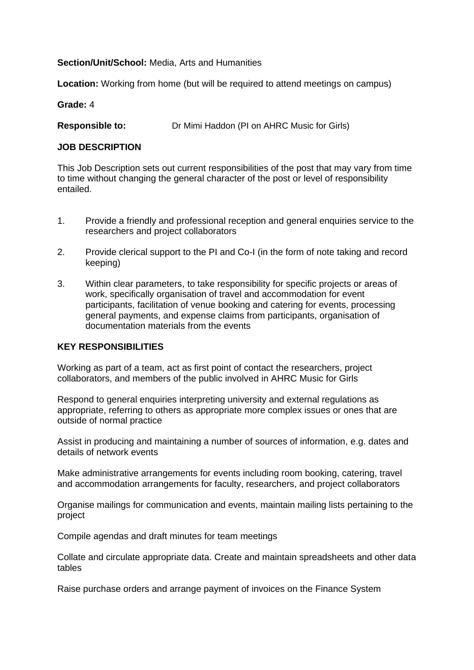### **Section/Unit/School:** Media, Arts and Humanities

**Location:** Working from home (but will be required to attend meetings on campus)

### **Grade:** 4

**Responsible to:** Dr Mimi Haddon (PI on AHRC Music for Girls)

### **JOB DESCRIPTION**

This Job Description sets out current responsibilities of the post that may vary from time to time without changing the general character of the post or level of responsibility entailed.

- 1. Provide a friendly and professional reception and general enquiries service to the researchers and project collaborators
- 2. Provide clerical support to the PI and Co-I (in the form of note taking and record keeping)
- 3. Within clear parameters, to take responsibility for specific projects or areas of work, specifically organisation of travel and accommodation for event participants, facilitation of venue booking and catering for events, processing general payments, and expense claims from participants, organisation of documentation materials from the events

#### **KEY RESPONSIBILITIES**

Working as part of a team, act as first point of contact the researchers, project collaborators, and members of the public involved in AHRC Music for Girls

Respond to general enquiries interpreting university and external regulations as appropriate, referring to others as appropriate more complex issues or ones that are outside of normal practice

Assist in producing and maintaining a number of sources of information, e.g. dates and details of network events

Make administrative arrangements for events including room booking, catering, travel and accommodation arrangements for faculty, researchers, and project collaborators

Organise mailings for communication and events, maintain mailing lists pertaining to the project

Compile agendas and draft minutes for team meetings

Collate and circulate appropriate data. Create and maintain spreadsheets and other data tables

Raise purchase orders and arrange payment of invoices on the Finance System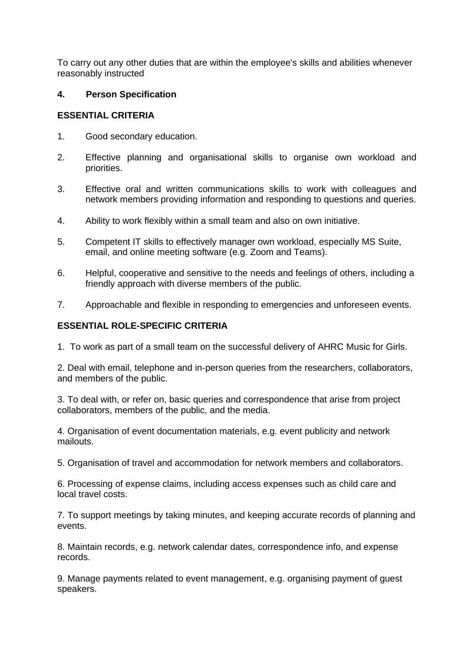To carry out any other duties that are within the employee's skills and abilities whenever reasonably instructed

### **4. Person Specification**

### **ESSENTIAL CRITERIA**

- 1. Good secondary education.
- 2. Effective planning and organisational skills to organise own workload and priorities.
- 3. Effective oral and written communications skills to work with colleagues and network members providing information and responding to questions and queries.
- 4. Ability to work flexibly within a small team and also on own initiative.
- 5. Competent IT skills to effectively manager own workload, especially MS Suite, email, and online meeting software (e.g. Zoom and Teams).
- 6. Helpful, cooperative and sensitive to the needs and feelings of others, including a friendly approach with diverse members of the public.
- 7. Approachable and flexible in responding to emergencies and unforeseen events.

## **ESSENTIAL ROLE-SPECIFIC CRITERIA**

1. To work as part of a small team on the successful delivery of AHRC Music for Girls.

2. Deal with email, telephone and in-person queries from the researchers, collaborators, and members of the public.

3. To deal with, or refer on, basic queries and correspondence that arise from project collaborators, members of the public, and the media.

4. Organisation of event documentation materials, e.g. event publicity and network mailouts.

5. Organisation of travel and accommodation for network members and collaborators.

6. Processing of expense claims, including access expenses such as child care and local travel costs.

7. To support meetings by taking minutes, and keeping accurate records of planning and events.

8. Maintain records, e.g. network calendar dates, correspondence info, and expense records.

9. Manage payments related to event management, e.g. organising payment of guest speakers.